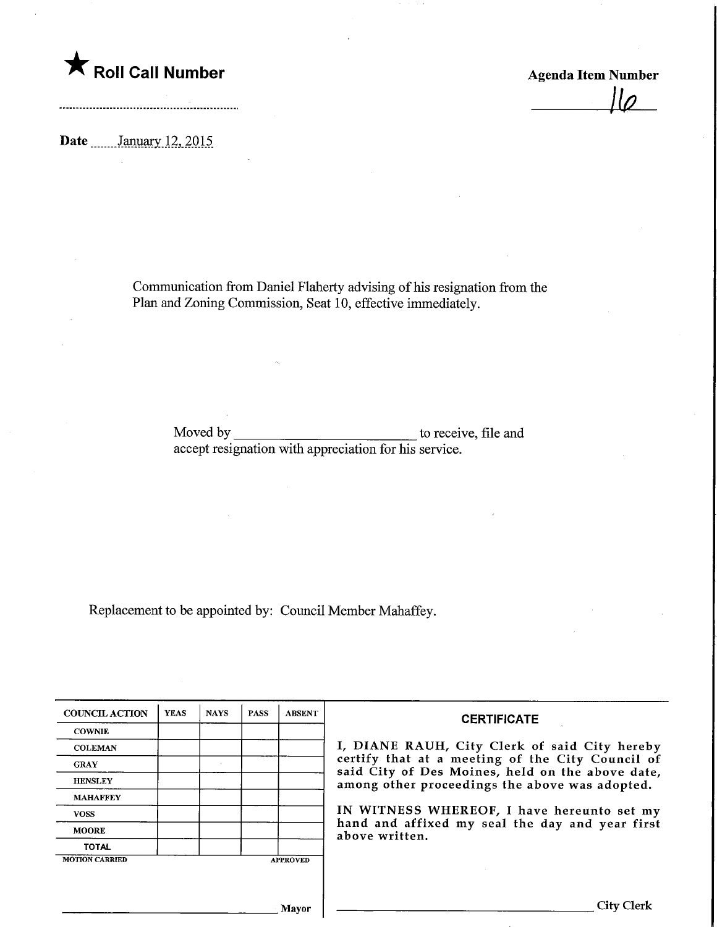

Agenda Item Number

Date **........** January 12, 2015

Communication from Daniel Flaherty advising of his resignation from the Plan and Zoning Commission, Seat 10, effective immediately.

> Moved by \_\_\_\_\_\_\_\_\_\_\_\_\_\_\_\_\_\_\_\_\_\_\_\_\_\_\_\_\_\_\_\_\_\_ to receive, file and accept resignation with appreciation for his service.

Replacement to be appointed by: Council Member Mahaffey.

| <b>COUNCIL ACTION</b> | <b>YEAS</b> | <b>NAYS</b> | <b>PASS</b> | <b>ABSENT</b>   | <b>CERTIFICATE</b>                                                                                   |
|-----------------------|-------------|-------------|-------------|-----------------|------------------------------------------------------------------------------------------------------|
| <b>COWNIE</b>         |             |             |             |                 |                                                                                                      |
| <b>COLEMAN</b>        |             |             |             |                 | I, DIANE RAUH, City Clerk of said City hereby                                                        |
| <b>GRAY</b>           |             |             |             |                 | certify that at a meeting of the City Council of<br>said City of Des Moines, held on the above date, |
| <b>HENSLEY</b>        |             |             |             |                 | among other proceedings the above was adopted.                                                       |
| <b>MAHAFFEY</b>       |             |             |             |                 |                                                                                                      |
| <b>VOSS</b>           |             |             |             |                 | IN WITNESS WHEREOF, I have hereunto set my                                                           |
| <b>MOORE</b>          |             |             |             |                 | hand and affixed my seal the day and year first<br>above written.                                    |
| <b>TOTAL</b>          |             |             |             |                 |                                                                                                      |
| <b>MOTION CARRIED</b> |             |             |             | <b>APPROVED</b> |                                                                                                      |
|                       |             |             |             |                 |                                                                                                      |
|                       |             |             |             |                 |                                                                                                      |
|                       |             |             |             | Mavor           | City Clerk                                                                                           |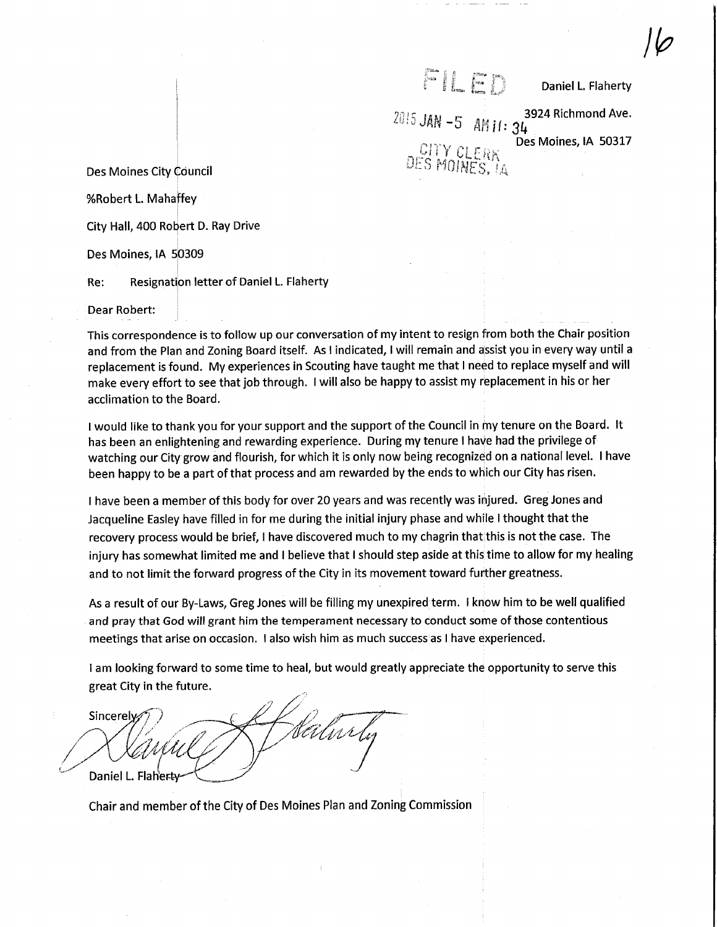r il h n

Daniel L. Flaherty

 $\overline{\varphi}$ 

 $^{2015}$  JAN -5 AM II: 34 $^{3924}$  Richmond Ave. Des Moines, IA 50317 CITY CLERK<br>ES MOINES, 1A

Des Moines City Council

%Robert L. Mahaffey

City Hall, 400 Robert D. Ray Drive

Des Moines, IA S0309

Re: Resignation letter of Daniel L Flaherty

Dear Robert:

This correspondence is to follow up our conversation of my intent to resign from both the Chair position and from the Plan and Zoning Board itself. As I indicated, I will remain and assist you in every way until a replacement is found. My experiences in Scouting have taught me that I need to replace myself and will make every effort to see that job through. I will also be happy to assist my replacement in his or her acclimation to the Board.

I would like to thank you for your support and the support of the Council in my tenure on the Board. It has been an enlightening and rewarding experience. During my tenure I have had the privilege of watching our City grow and flourish, for which it is only now being recognized on a national level. I have been happy to be a part of that process and am rewarded by the ends to which our City has risen.

I have been a member of this body for over 20 years and was recently was injured. Greg Jones and Jacqueline Easley have filled in for me during the initial injury phase and white I thought that the recovery process would be brief, I have discovered much to my chagrin that this is not the case. The injury has somewhat limited me and I believe that I should step aside at this time to allow for my healing and to not limit the forward progress of the City in its movement toward further greatness.

As a result of our By-Laws, Greg Jones will be filling my unexpired term. I know him to be well qualified and pray that God will grant him the temperament necessary to conduct some of those contentious meetings that arise on occasion. I also wish him as much success as I have experienced.

I am looking forward to some time to heal, but would greatly appreciate the opportunity to serve this great City in the future.

Sincerely Unrly Daniel L. Flah'e

Chair and member of the City of Des Moines Plan and Zoning Commission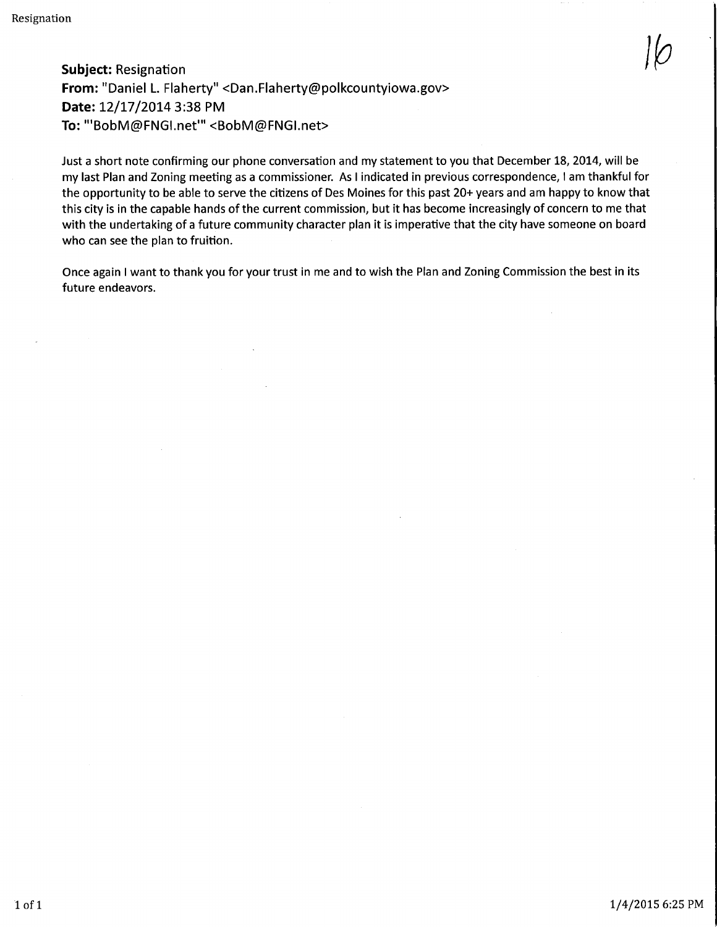Subject: Resignation for  $\mathcal{G}(\mathcal{O})$  . Subject: Resignation for  $\mathcal{G}(\mathcal{O})$ From: "Daniel L. Flaherty" <Dan.Flaherty@polkcountyiowa.gov> Date: 12/17/2014 3:38 PM To: "'BobM@FNGI.net'" <BobM@FNGI.net>

Just a short note confirming our phone conversation and my statement to you that December 18, 2014, will be my last Plan and Zoning meeting as a commissioner. As I indicated in previous correspondence, I am thankful for the opportunity to be able to serve the citizens of Des Moines for this past 20+ years and am happy to know that this city is in the capable hands of the current commission, but it has become increasingly of concern to me that with the undertaking of a future community character plan it is imperative that the city have someone on board who can see the plan to fruition.

Once again I want to thank you for your trust in me and to wish the Plan and Zoning Commission the best in its future endeavors.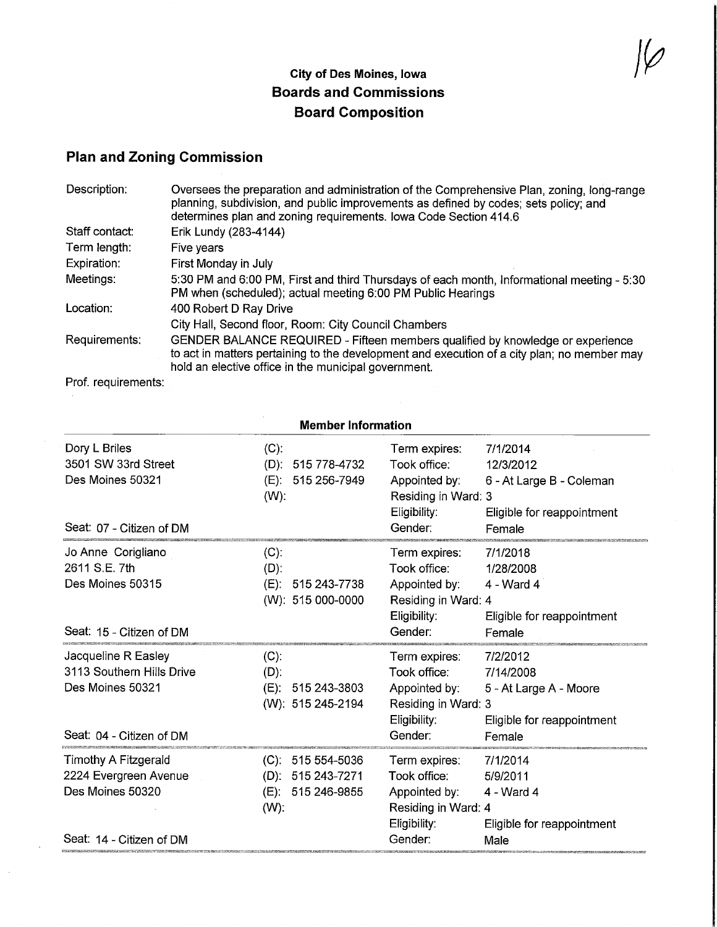## City of Des Moines, Iowa Boards and Commissions Board Composition

 $\cancel{1\varphi}$ 

## Plan and Zoning Commission

| Description:   | Oversees the preparation and administration of the Comprehensive Plan, zoning, long-range<br>planning, subdivision, and public improvements as defined by codes; sets policy; and<br>determines plan and zoning requirements. Iowa Code Section 414.6 |
|----------------|-------------------------------------------------------------------------------------------------------------------------------------------------------------------------------------------------------------------------------------------------------|
| Staff contact: | Erik Lundy (283-4144)                                                                                                                                                                                                                                 |
| Term length:   | Five years                                                                                                                                                                                                                                            |
| Expiration:    | First Monday in July                                                                                                                                                                                                                                  |
| Meetings:      | 5:30 PM and 6:00 PM, First and third Thursdays of each month, Informational meeting - 5:30<br>PM when (scheduled); actual meeting 6:00 PM Public Hearings                                                                                             |
| Location:      | 400 Robert D Ray Drive                                                                                                                                                                                                                                |
|                | City Hall, Second floor, Room: City Council Chambers                                                                                                                                                                                                  |
| Requirements:  | GENDER BALANCE REQUIRED - Fifteen members qualified by knowledge or experience<br>to act in matters pertaining to the development and execution of a city plan; no member may<br>hold an elective office in the municipal government.                 |

Prof. requirements:

 $\hat{\mathcal{A}}$ 

|                                                                                                  | <b>Member Information</b>                                                     |                                                                                                  |                                                                                           |  |  |  |
|--------------------------------------------------------------------------------------------------|-------------------------------------------------------------------------------|--------------------------------------------------------------------------------------------------|-------------------------------------------------------------------------------------------|--|--|--|
| Dory L Briles<br>3501 SW 33rd Street<br>Des Moines 50321<br>Seat: 07 - Citizen of DM             | $(C)$ :<br>$(D)$ :<br>515 778-4732<br>(E): 515 256-7949<br>$(W)$ :            | Term expires:<br>Took office:<br>Appointed by:<br>Residing in Ward: 3<br>Eligibility:<br>Gender: | 7/1/2014<br>12/3/2012<br>6 - At Large B - Coleman<br>Eligible for reappointment<br>Female |  |  |  |
| Jo Anne Corigliano<br>2611 S.E. 7th<br>Des Moines 50315<br>Seat: 15 - Citizen of DM              | $(C)$ :<br>$(D)$ :<br>$(E)$ :<br>515 243-7738<br>(W): 515 000-0000            | Term expires:<br>Took office:<br>Appointed by:<br>Residing in Ward: 4<br>Eligibility:<br>Gender: | 7/1/2018<br>1/28/2008<br>4 - Ward 4<br>Eligible for reappointment<br>Female               |  |  |  |
| Jacqueline R Easley<br>3113 Southern Hills Drive<br>Des Moines 50321<br>Seat: 04 - Citizen of DM | $(C)$ :<br>$(D)$ :<br>(E): 515 243-3803<br>(W): 515 245-2194                  | Term expires:<br>Took office:<br>Appointed by:<br>Residing in Ward: 3<br>Eligibility:<br>Gender: | 7/2/2012<br>7/14/2008<br>5 - At Large A - Moore<br>Eligible for reappointment<br>Female   |  |  |  |
| Timothy A Fitzgerald<br>2224 Evergreen Avenue<br>Des Moines 50320<br>Seat: 14 - Citizen of DM    | $(C)$ .<br>515 554-5036<br>$(D): 515243-7271$<br>(E): 515 246-9855<br>$(W)$ : | Term expires:<br>Took office:<br>Appointed by:<br>Residing in Ward: 4<br>Eligibility:<br>Gender: | 7/1/2014<br>5/9/2011<br>4 - Ward 4<br>Eligible for reappointment<br>Male                  |  |  |  |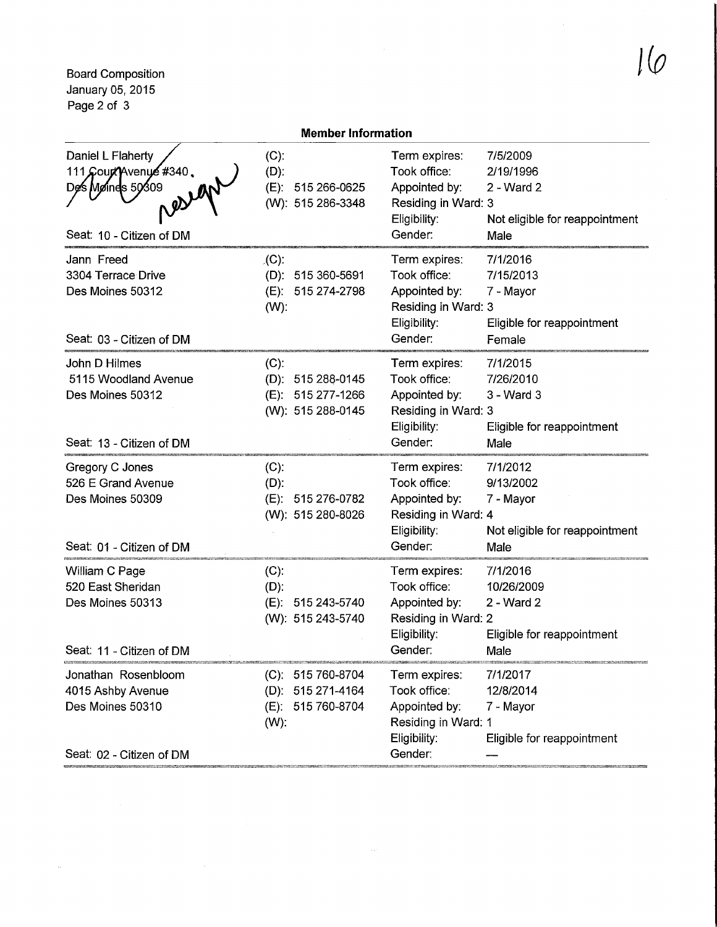Board Composition January 05,2015 Page 2 of 3

 $\hat{\mathcal{H}}$ 

|                                                                                             | <b>Member Information</b>                                              |                                                                                                  |                                                                                   |  |  |  |
|---------------------------------------------------------------------------------------------|------------------------------------------------------------------------|--------------------------------------------------------------------------------------------------|-----------------------------------------------------------------------------------|--|--|--|
| Daniel L Flaherty<br>111 Court Avenue #340.<br>Des Møines 50309<br>Seat: 10 - Citizen of DM | $(C)$ :<br>(D):<br>(E): 515 266-0625<br>(W): 515 286-3348              | Term expires:<br>Took office:<br>Appointed by:<br>Residing in Ward: 3<br>Eligibility:<br>Gender: | 7/5/2009<br>2/19/1996<br>$2 - Ward$ 2<br>Not eligible for reappointment<br>Male   |  |  |  |
| Jann Freed<br>3304 Terrace Drive<br>Des Moines 50312<br>Seat: 03 - Citizen of DM            | $\lambda(C)$ :<br>(D): 515 360-5691<br>(E): 515 274-2798<br>$(W)$ :    | Term expires:<br>Took office:<br>Appointed by:<br>Residing in Ward: 3<br>Eligibility:<br>Gender: | 7/1/2016<br>7/15/2013<br>7 - Mayor<br>Eligible for reappointment<br>Female        |  |  |  |
| John D Hilmes<br>5115 Woodland Avenue<br>Des Moines 50312<br>Seat: 13 - Citizen of DM       | $(C)$ :<br>(D): 515 288-0145<br>(E): 515 277-1266<br>(W): 515 288-0145 | Term expires:<br>Took office:<br>Appointed by:<br>Residing in Ward: 3<br>Eligibility:<br>Gender: | 7/1/2015<br>7/26/2010<br>3 - Ward 3<br>Eligible for reappointment<br>Male         |  |  |  |
| Gregory C Jones<br>526 E Grand Avenue<br>Des Moines 50309<br>Seat: 01 - Citizen of DM       | $(C)$ :<br>$(D)$ :<br>(E): 515 276-0782<br>(W): 515 280-8026           | Term expires:<br>Took office:<br>Appointed by:<br>Residing in Ward: 4<br>Eligibility:<br>Gender: | 7/1/2012<br>9/13/2002<br>7 - Mayor<br>Not eligible for reappointment<br>Male      |  |  |  |
| William C Page<br>520 East Sheridan<br>Des Moines 50313<br>Seat: 11 - Citizen of DM         | $(C)$ :<br>$(D)$ :<br>(E): 515 243-5740<br>(W): 515 243-5740           | Term expires:<br>Took office:<br>Appointed by:<br>Residing in Ward: 2<br>Eligibility:<br>Gender: | 7/1/2016<br>10/26/2009<br>2 - Ward 2<br>Eligible for reappointment<br><b>Male</b> |  |  |  |
| Jonathan Rosenbloom<br>4015 Ashby Avenue<br>Des Moines 50310<br>Seat: 02 - Citizen of DM    | (C): 515 760-8704<br>(D): 515 271-4164<br>(E): 515 760-8704<br>$(W)$ : | Term expires:<br>Took office:<br>Appointed by:<br>Residing in Ward: 1<br>Eligibility:<br>Gender: | 7/1/2017<br>12/8/2014<br>7 - Mayor<br>Eligible for reappointment                  |  |  |  |

 $\alpha$